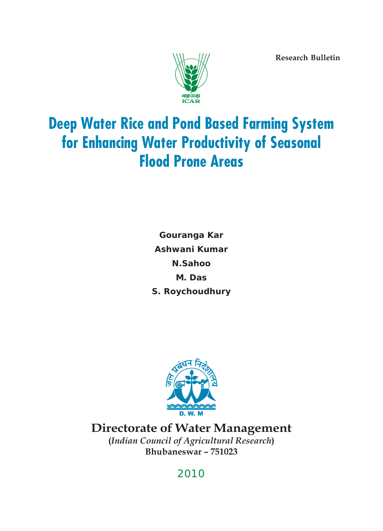**Research Bulletin**



# **Deep Water Rice and Pond Based Farming System for Enhancing Water Productivity of Seasonal Flood Prone Areas**

**Gouranga Kar Ashwani Kumar N.Sahoo M. Das S. Roychoudhury**



**Directorate of Water Management (***Indian Council of Agricultural Research***) Bhubaneswar – 751023**

# 2010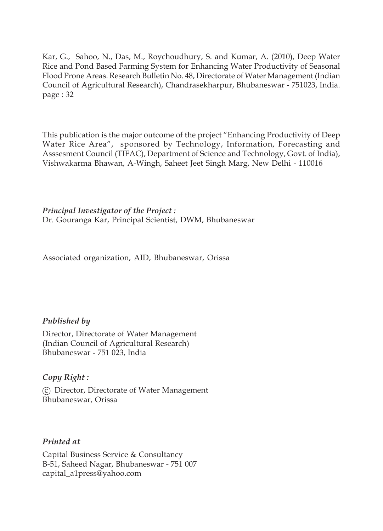Kar, G., Sahoo, N., Das, M., Roychoudhury, S. and Kumar, A. (2010), Deep Water Rice and Pond Based Farming System for Enhancing Water Productivity of Seasonal Flood Prone Areas. Research Bulletin No. 48, Directorate of Water Management (Indian Council of Agricultural Research), Chandrasekharpur, Bhubaneswar - 751023, India. page : 32

This publication is the major outcome of the project "Enhancing Productivity of Deep Water Rice Area", sponsored by Technology, Information, Forecasting and Asssesment Council (TIFAC), Department of Science and Technology, Govt. of India), Vishwakarma Bhawan, A-Wingh, Saheet Jeet Singh Marg, New Delhi - 110016

*Principal Investigator of the Project :* Dr. Gouranga Kar, Principal Scientist, DWM, Bhubaneswar

Associated organization, AID, Bhubaneswar, Orissa

# *Published by*

Director, Directorate of Water Management (Indian Council of Agricultural Research) Bhubaneswar - 751 023, India

# *Copy Right :*

(c) Director, Directorate of Water Management Bhubaneswar, Orissa

# *Printed at*

Capital Business Service & Consultancy B-51, Saheed Nagar, Bhubaneswar - 751 007 capital\_a1press@yahoo.com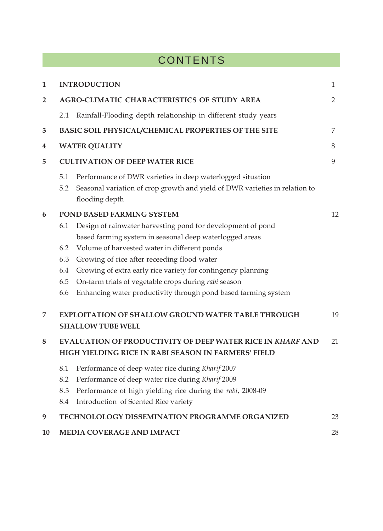# **CONTENTS**

| $\mathbf{1}$   |                                                                                                                          | <b>INTRODUCTION</b>                                                                                                                                                                                                                                                                                                                                                                                             | 1              |  |  |  |  |  |
|----------------|--------------------------------------------------------------------------------------------------------------------------|-----------------------------------------------------------------------------------------------------------------------------------------------------------------------------------------------------------------------------------------------------------------------------------------------------------------------------------------------------------------------------------------------------------------|----------------|--|--|--|--|--|
| $\overline{2}$ |                                                                                                                          | AGRO-CLIMATIC CHARACTERISTICS OF STUDY AREA                                                                                                                                                                                                                                                                                                                                                                     | $\overline{2}$ |  |  |  |  |  |
|                | 2.1                                                                                                                      | Rainfall-Flooding depth relationship in different study years                                                                                                                                                                                                                                                                                                                                                   |                |  |  |  |  |  |
| 3              |                                                                                                                          | BASIC SOIL PHYSICAL/CHEMICAL PROPERTIES OF THE SITE                                                                                                                                                                                                                                                                                                                                                             | 7              |  |  |  |  |  |
| 4              |                                                                                                                          | <b>WATER QUALITY</b>                                                                                                                                                                                                                                                                                                                                                                                            | 8              |  |  |  |  |  |
| 5              |                                                                                                                          | <b>CULTIVATION OF DEEP WATER RICE</b>                                                                                                                                                                                                                                                                                                                                                                           | 9              |  |  |  |  |  |
|                | 5.1<br>5.2                                                                                                               | Performance of DWR varieties in deep waterlogged situation<br>Seasonal variation of crop growth and yield of DWR varieties in relation to<br>flooding depth                                                                                                                                                                                                                                                     |                |  |  |  |  |  |
| 6              |                                                                                                                          | POND BASED FARMING SYSTEM                                                                                                                                                                                                                                                                                                                                                                                       | 12             |  |  |  |  |  |
|                | 6.1<br>6.2<br>6.3<br>6.4<br>6.5<br>6.6                                                                                   | Design of rainwater harvesting pond for development of pond<br>based farming system in seasonal deep waterlogged areas<br>Volume of harvested water in different ponds<br>Growing of rice after receeding flood water<br>Growing of extra early rice variety for contingency planning<br>On-farm trials of vegetable crops during rabi season<br>Enhancing water productivity through pond based farming system |                |  |  |  |  |  |
| 7              |                                                                                                                          | <b>EXPLOITATION OF SHALLOW GROUND WATER TABLE THROUGH</b><br><b>SHALLOW TUBE WELL</b>                                                                                                                                                                                                                                                                                                                           | 19             |  |  |  |  |  |
| 8              | <b>EVALUATION OF PRODUCTIVITY OF DEEP WATER RICE IN KHARF AND</b><br>HIGH YIELDING RICE IN RABI SEASON IN FARMERS' FIELD |                                                                                                                                                                                                                                                                                                                                                                                                                 |                |  |  |  |  |  |
|                | 8.1<br>8.2<br>8.3<br>8.4                                                                                                 | Performance of deep water rice during Kharif 2007<br>Performance of deep water rice during Kharif 2009<br>Performance of high yielding rice during the rabi, 2008-09<br>Introduction of Scented Rice variety                                                                                                                                                                                                    |                |  |  |  |  |  |
| 9              |                                                                                                                          | <b>TECHNOLOLOGY DISSEMINATION PROGRAMME ORGANIZED</b>                                                                                                                                                                                                                                                                                                                                                           | 23             |  |  |  |  |  |
| 10             |                                                                                                                          | <b>MEDIA COVERAGE AND IMPACT</b>                                                                                                                                                                                                                                                                                                                                                                                | 28             |  |  |  |  |  |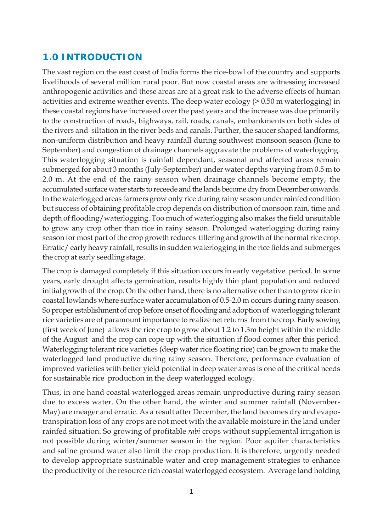# **1.0 INTRODUCTION**

The vast region on the east coast of India forms the rice-bowl of the country and supports livelihoods of several million rural poor. But now coastal areas are witnessing increased anthropogenic activities and these areas are at a great risk to the adverse effects of human activities and extreme weather events. The deep water ecology  $(> 0.50$  m waterlogging) in these coastal regions have increased over the past years and the increase was due primarily to the construction of roads, highways, rail, roads, canals, embankments on both sides of the rivers and siltation in the river beds and canals. Further, the saucer shaped landforms, non-uniform distribution and heavy rainfall during southwest monsoon season (June to September) and congestion of drainage channels aggravate the problems of waterlogging. This waterlogging situation is rainfall dependant, seasonal and affected areas remain submerged for about 3 months (July-September) under water depths varying from 0.5 m to 2.0 m. At the end of the rainy season when drainage channels become empty, the accumulated surface water starts to receede and the lands become dry from December onwards. In the waterlogged areas farmers grow only rice during rainy season under rainfed condition but success of obtaining profitable crop depends on distribution of monsoon rain, time and depth of flooding/waterlogging. Too much of waterlogging also makes the field unsuitable to grow any crop other than rice in rainy season. Prolonged waterlogging during rainy season for most part of the crop growth reduces tillering and growth of the normal rice crop. Erratic/ early heavy rainfall, results in sudden waterlogging in the rice fields and submerges the crop at early seedling stage.

The crop is damaged completely if this situation occurs in early vegetative period. In some years, early drought affects germination, results highly thin plant population and reduced initial growth of the crop. On the other hand, there is no alternative other than to grow rice in coastal lowlands where surface water accumulation of 0.5-2.0 m occurs during rainy season. So proper establishment of crop before onset of flooding and adoption of waterlogging tolerant rice varieties are of paramount importance to realize net returns from the crop. Early sowing (first week of June) allows the rice crop to grow about 1.2 to 1.3m height within the middle of the August and the crop can cope up with the situation if flood comes after this period. Waterlogging tolerant rice varieties (deep water rice floating rice) can be grown to make the waterlogged land productive during rainy season. Therefore, performance evaluation of improved varieties with better yield potential in deep water areas is one of the critical needs for sustainable rice production in the deep waterlogged ecology.

Thus, in one hand coastal waterlogged areas remain unproductive during rainy season due to excess water. On the other hand, the winter and summer rainfall (November-May) are meager and erratic. As a result after December, the land becomes dry and evapotranspiration loss of any crops are not meet with the available moisture in the land under rainfed situation. So growing of profitable *rabi* crops without supplemental irrigation is not possible during winter/summer season in the region. Poor aquifer characteristics and saline ground water also limit the crop production. It is therefore, urgently needed to develop appropriate sustainable water and crop management strategies to enhance the productivity of the resource rich coastal waterlogged ecosystem. Average land holding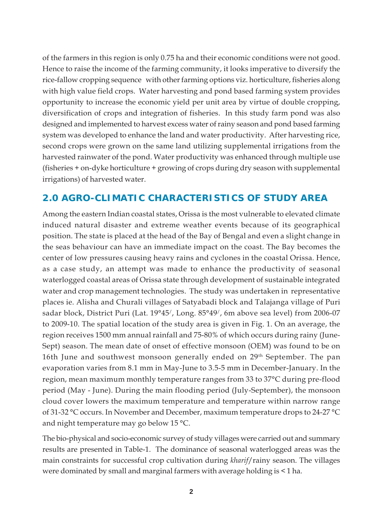of the farmers in this region is only 0.75 ha and their economic conditions were not good. Hence to raise the income of the farming community, it looks imperative to diversify the rice-fallow cropping sequence with other farming options viz. horticulture, fisheries along with high value field crops. Water harvesting and pond based farming system provides opportunity to increase the economic yield per unit area by virtue of double cropping, diversification of crops and integration of fisheries. In this study farm pond was also designed and implemented to harvest excess water of rainy season and pond based farming system was developed to enhance the land and water productivity. After harvesting rice, second crops were grown on the same land utilizing supplemental irrigations from the harvested rainwater of the pond. Water productivity was enhanced through multiple use (fisheries + on-dyke horticulture + growing of crops during dry season with supplemental irrigations) of harvested water.

# **2.0 AGRO-CLIMATIC CHARACTERISTICS OF STUDY AREA**

Among the eastern Indian coastal states, Orissa is the most vulnerable to elevated climate induced natural disaster and extreme weather events because of its geographical position. The state is placed at the head of the Bay of Bengal and even a slight change in the seas behaviour can have an immediate impact on the coast. The Bay becomes the center of low pressures causing heavy rains and cyclones in the coastal Orissa. Hence, as a case study, an attempt was made to enhance the productivity of seasonal waterlogged coastal areas of Orissa state through development of sustainable integrated water and crop management technologies. The study was undertaken in representative places ie. Alisha and Churali villages of Satyabadi block and Talajanga village of Puri sadar block, District Puri (Lat. 19°45/, Long. 85°49/, 6m above sea level) from 2006-07 to 2009-10. The spatial location of the study area is given in Fig. 1. On an average, the region receives 1500 mm annual rainfall and 75-80% of which occurs during rainy (June-Sept) season. The mean date of onset of effective monsoon (OEM) was found to be on 16th June and southwest monsoon generally ended on 29th September. The pan evaporation varies from 8.1 mm in May-June to 3.5-5 mm in December-January. In the region, mean maximum monthly temperature ranges from 33 to 37°C during pre-flood period (May - June). During the main flooding period (July-September), the monsoon cloud cover lowers the maximum temperature and temperature within narrow range of 31-32 °C occurs. In November and December, maximum temperature drops to 24-27 °C and night temperature may go below 15 °C.

The bio-physical and socio-economic survey of study villages were carried out and summary results are presented in Table-1. The dominance of seasonal waterlogged areas was the main constraints for successful crop cultivation during *kharif*/rainy season. The villages were dominated by small and marginal farmers with average holding is < 1 ha.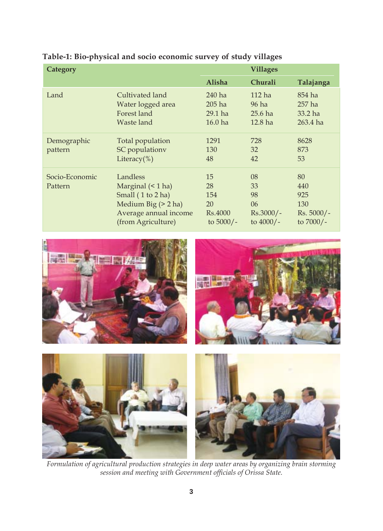| Category                  |                                                                                                                             |                                                 | <b>Villages</b>                                    |                                                        |
|---------------------------|-----------------------------------------------------------------------------------------------------------------------------|-------------------------------------------------|----------------------------------------------------|--------------------------------------------------------|
|                           |                                                                                                                             | Alisha                                          | Churali                                            | Talajanga                                              |
| Land                      | Cultivated land<br>Water logged area<br>Forest land<br>Waste land                                                           | $240$ ha<br>$205$ ha<br>$29.1$ ha<br>$16.0$ ha  | $112$ ha<br>96 ha<br>$25.6$ ha<br>$12.8$ ha        | 854 ha<br>$257$ ha<br>$33.2$ ha<br>$263.4$ ha          |
| Demographic<br>pattern    | Total population<br>SC populationy<br>Literacy $(\%)$                                                                       | 1291<br>130<br>48                               | 728<br>32<br>42                                    | 8628<br>873<br>53                                      |
| Socio-Economic<br>Pattern | Landless<br>Marginal $($ 1 ha)<br>Small (1 to 2 ha)<br>Medium Big $(> 2$ ha)<br>Average annual income<br>(from Agriculture) | 15<br>28<br>154<br>20<br>Rs.4000<br>to $5000/-$ | 08<br>33<br>98<br>06<br>$Rs.3000/-$<br>to $4000/-$ | 80<br>440<br>925<br>130<br>$Rs. 5000/-$<br>to $7000/-$ |

# **Table-1: Bio-physical and socio economic survey of study villages**



*Formulation of agricultural production strategies in deep water areas by organizing brain storming session and meeting with Government officials of Orissa State.*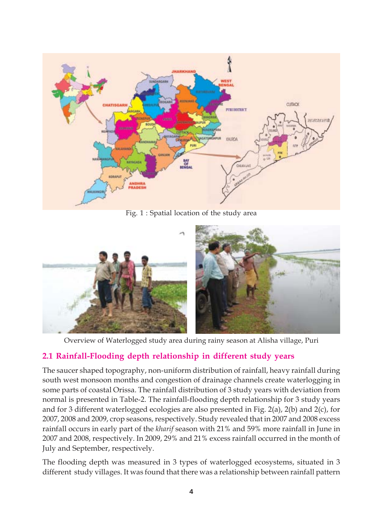

Fig. 1 : Spatial location of the study area



Overview of Waterlogged study area during rainy season at Alisha village, Puri

# **2.1 Rainfall-Flooding depth relationship in different study years**

The saucer shaped topography, non-uniform distribution of rainfall, heavy rainfall during south west monsoon months and congestion of drainage channels create waterlogging in some parts of coastal Orissa. The rainfall distribution of 3 study years with deviation from normal is presented in Table-2. The rainfall-flooding depth relationship for 3 study years and for 3 different waterlogged ecologies are also presented in Fig. 2(a), 2(b) and 2(c), for 2007, 2008 and 2009, crop seasons, respectively. Study revealed that in 2007 and 2008 excess rainfall occurs in early part of the *kharif* season with 21% and 59% more rainfall in June in 2007 and 2008, respectively. In 2009, 29% and 21% excess rainfall occurred in the month of July and September, respectively.

The flooding depth was measured in 3 types of waterlogged ecosystems, situated in 3 different study villages. It was found that there was a relationship between rainfall pattern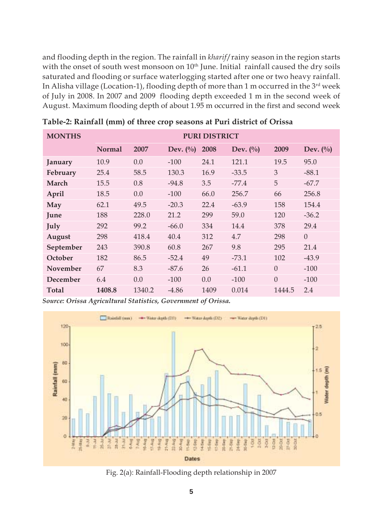and flooding depth in the region. The rainfall in *kharif*/rainy season in the region starts with the onset of south west monsoon on 10<sup>th</sup> June. Initial rainfall caused the dry soils saturated and flooding or surface waterlogging started after one or two heavy rainfall. In Alisha village (Location-1), flooding depth of more than 1 m occurred in the  $3<sup>rd</sup>$  week of July in 2008. In 2007 and 2009 flooding depth exceeded 1 m in the second week of August. Maximum flooding depth of about 1.95 m occurred in the first and second week

| <b>MONTHS</b> |               |        | <b>PURI DISTRICT</b>            |      |             |          |             |  |  |
|---------------|---------------|--------|---------------------------------|------|-------------|----------|-------------|--|--|
|               | <b>Normal</b> | 2007   | Dev. $\left(\frac{0}{0}\right)$ | 2008 | Dev. $(\%)$ | 2009     | Dev. $(\%)$ |  |  |
| January       | 10.9          | 0.0    | $-100$                          | 24.1 | 121.1       | 19.5     | 95.0        |  |  |
| February      | 25.4          | 58.5   | 130.3                           | 16.9 | $-33.5$     | 3        | $-88.1$     |  |  |
| March         | 15.5          | 0.8    | $-94.8$                         | 3.5  | $-77.4$     | 5        | $-67.7$     |  |  |
| April         | 18.5          | 0.0    | $-100$                          | 66.0 | 256.7       | 66       | 256.8       |  |  |
| May           | 62.1          | 49.5   | $-20.3$                         | 22.4 | $-63.9$     | 158      | 154.4       |  |  |
| June          | 188           | 228.0  | 21.2                            | 299  | 59.0        | 120      | $-36.2$     |  |  |
| July          | 292           | 99.2   | $-66.0$                         | 334  | 14.4        | 378      | 29.4        |  |  |
| August        | 298           | 418.4  | 40.4                            | 312  | 4.7         | 298      | $\Omega$    |  |  |
| September     | 243           | 390.8  | 60.8                            | 267  | 9.8         | 295      | 21.4        |  |  |
| October       | 182           | 86.5   | $-52.4$                         | 49   | $-73.1$     | 102      | $-43.9$     |  |  |
| November      | 67            | 8.3    | $-87.6$                         | 26   | $-61.1$     | $\Omega$ | $-100$      |  |  |
| December      | 6.4           | 0.0    | $-100$                          | 0.0  | $-100$      | $\Omega$ | $-100$      |  |  |
| Total         | 1408.8        | 1340.2 | $-4.86$                         | 1409 | 0.014       | 1444.5   | 2.4         |  |  |

**Table-2: Rainfall (mm) of three crop seasons at Puri district of Orissa**

*Source: Orissa Agricultural Statistics, Government of Orissa.*



Fig. 2(a): Rainfall-Flooding depth relationship in 2007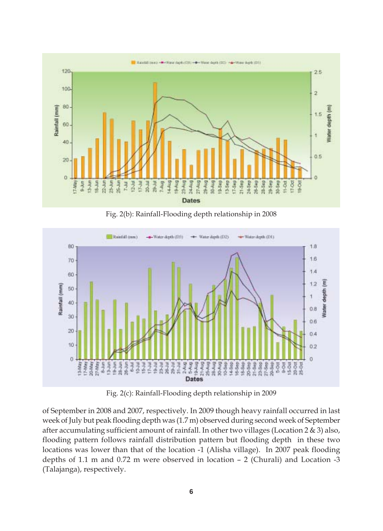

Fig. 2(b): Rainfall-Flooding depth relationship in 2008



Fig. 2(c): Rainfall-Flooding depth relationship in 2009

of September in 2008 and 2007, respectively. In 2009 though heavy rainfall occurred in last week of July but peak flooding depth was (1.7 m) observed during second week of September after accumulating sufficient amount of rainfall. In other two villages (Location 2 & 3) also, flooding pattern follows rainfall distribution pattern but flooding depth in these two locations was lower than that of the location -1 (Alisha village). In 2007 peak flooding depths of 1.1 m and 0.72 m were observed in location – 2 (Churali) and Location -3 (Talajanga), respectively.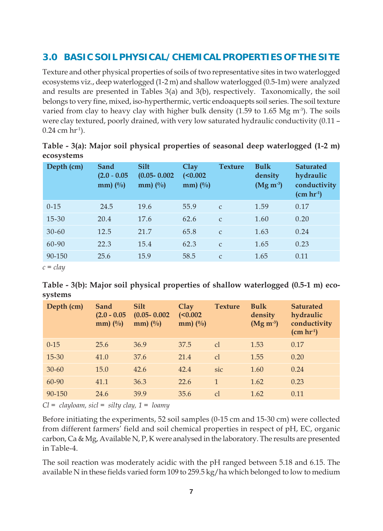# **3.0 BASIC SOIL PHYSICAL/CHEMICAL PROPERTIES OF THE SITE**

Texture and other physical properties of soils of two representative sites in two waterlogged ecosystems viz., deep waterlogged (1-2 m) and shallow waterlogged (0.5-1m) were analyzed and results are presented in Tables 3(a) and 3(b), respectively. Taxonomically, the soil belongs to very fine, mixed, iso-hyperthermic, vertic endoaquepts soil series. The soil texture varied from clay to heavy clay with higher bulk density (1.59 to 1.65 Mg  $\text{m}^3$ ). The soils were clay textured, poorly drained, with very low saturated hydraulic conductivity (0.11 –  $0.24$  cm hr<sup>-1</sup>).

| Table - 3(a): Major soil physical properties of seasonal deep waterlogged (1-2 m) |  |  |  |  |
|-----------------------------------------------------------------------------------|--|--|--|--|
| ecosystems                                                                        |  |  |  |  |

| Depth (cm)   | Sand<br>$(2.0 - 0.05)$<br>$mm)$ (%) | <b>Silt</b><br>$(0.05 - 0.002)$<br>$mm)$ (%) | <b>Clay</b><br>$(0.002$<br>$mm)$ (%) | <b>Texture</b> | <b>Bulk</b><br>density<br>$(Mg m-3)$ | <b>Saturated</b><br>hydraulic<br>conductivity<br>$(cm hr-1)$ |
|--------------|-------------------------------------|----------------------------------------------|--------------------------------------|----------------|--------------------------------------|--------------------------------------------------------------|
| $0 - 15$     | 24.5                                | 19.6                                         | 55.9                                 | $\mathcal{C}$  | 1.59                                 | 0.17                                                         |
| 15-30        | 20.4                                | 17.6                                         | 62.6                                 | $\mathcal{C}$  | 1.60                                 | 0.20                                                         |
| $30 - 60$    | 12.5                                | 21.7                                         | 65.8                                 | $\mathcal{C}$  | 1.63                                 | 0.24                                                         |
| 60-90        | 22.3                                | 15.4                                         | 62.3                                 | $\mathsf{C}$   | 1.65                                 | 0.23                                                         |
| 90-150       | 25.6                                | 15.9                                         | 58.5                                 | $\mathsf{C}$   | 1.65                                 | 0.11                                                         |
| $\mathbf{I}$ |                                     |                                              |                                      |                |                                      |                                                              |

*c = clay*

| Table - 3(b): Major soil physical properties of shallow waterlogged (0.5-1 m) eco- |  |  |  |
|------------------------------------------------------------------------------------|--|--|--|
| systems                                                                            |  |  |  |

| Depth (cm) | Sand<br>$(2.0 - 0.05)$<br>$mm)$ (%) | <b>Silt</b><br>$(0.05 - 0.002)$<br>$mm)$ (%) | Clav<br>$(0.002$<br>$mm)$ (%) | <b>Texture</b> | <b>Bulk</b><br>density<br>$(Mg m-3)$ | <b>Saturated</b><br>hydraulic<br>conductivity<br>$(cm hr-1)$ |
|------------|-------------------------------------|----------------------------------------------|-------------------------------|----------------|--------------------------------------|--------------------------------------------------------------|
| $0 - 15$   | 25.6                                | 36.9                                         | 37.5                          | cl             | 1.53                                 | 0.17                                                         |
| $15 - 30$  | 41.0                                | 37.6                                         | 21.4                          | cl             | 1.55                                 | 0.20                                                         |
| $30 - 60$  | 15.0                                | 42.6                                         | 42.4                          | sic            | 1.60                                 | 0.24                                                         |
| 60-90      | 41.1                                | 36.3                                         | 22.6                          | $\mathbf{1}$   | 1.62                                 | 0.23                                                         |
| 90-150     | 24.6                                | 39.9                                         | 35.6                          | cl             | 1.62                                 | 0.11                                                         |

*Cl = clayloam, sicl = silty clay, 1 = loamy*

Before initiating the experiments, 52 soil samples (0-15 cm and 15-30 cm) were collected from different farmers' field and soil chemical properties in respect of pH, EC, organic carbon, Ca & Mg, Available N, P, K were analysed in the laboratory. The results are presented in Table-4.

The soil reaction was moderately acidic with the pH ranged between 5.18 and 6.15. The available N in these fields varied form 109 to 259.5 kg/ha which belonged to low to medium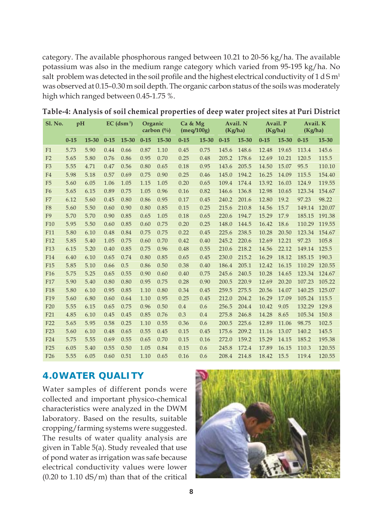category. The available phosphorous ranged between 10.21 to 20-56 kg/ha. The available potassium was also in the medium range category which varied from 95-195 kg/ha. No salt problem was detected in the soil profile and the highest electrical conductivity of 1 d S  $m<sup>1</sup>$ was observed at 0.15–0.30 m soil depth. The organic carbon status of the soils was moderately high which ranged between 0.45-1.75 %.

| <b>S1. No.</b>  | pH       |           |          | $EC$ (dsm <sup>1</sup> ) | Organic  | carbon $(\% )$ | Ca & Mg<br>(meq/100g) |           | (Kg/ha)  | Avail. N |          | Avail. P<br>(Kg/ha) | Avail. K<br>(Kg/ha) |           |
|-----------------|----------|-----------|----------|--------------------------|----------|----------------|-----------------------|-----------|----------|----------|----------|---------------------|---------------------|-----------|
|                 | $0 - 15$ | $15 - 30$ | $0 - 15$ | $15 - 30$                | $0 - 15$ | $15 - 30$      | $0 - 15$              | $15 - 30$ | $0 - 15$ | 15-30    | $0 - 15$ | $15 - 30$           | $0 - 15$            | $15 - 30$ |
| F1              | 5.73     | 5.90      | 0.44     | 0.66                     | 0.87     | 1.10           | 0.45                  | 0.75      | 145.6    | 148.6    | 12.48    | 19.65               | 113.4               | 145.6     |
| F <sub>2</sub>  | 5.65     | 5.80      | 0.76     | 0.86                     | 0.95     | 0.70           | 0.25                  | 0.48      | 205.2    | 178.6    | 12.69    | 10.21               | 120.5               | 115.5     |
| F <sub>3</sub>  | 5.55     | 4.71      | 0.47     | 0.56                     | 0.80     | 0.65           | 0.18                  | 0.95      | 143.6    | 205.5    | 14.50    | 15.07               | 95.5                | 110.10    |
| F4              | 5.98     | 5.18      | 0.57     | 0.69                     | 0.75     | 0.90           | 0.25                  | 0.46      | 145.0    | 194.2    | 16.25    | 14.09               | 115.5               | 154.40    |
| F <sub>5</sub>  | 5.60     | 6.05      | 1.06     | 1.05                     | 1.15     | 1.05           | 0.20                  | 0.65      | 109.4    | 174.4    | 13.92    | 16.03               | 124.9               | 119.55    |
| F <sub>6</sub>  | 5.65     | 6.15      | 0.89     | 0.75                     | 1.05     | 0.96           | 0.16                  | 0.82      | 146.6    | 136.8    | 12.98    | 10.65               | 123.34              | 154.67    |
| F7              | 6.12     | 5.60      | 0.45     | 0.80                     | 0.86     | 0.95           | 0.17                  | 0.45      | 240.2    | 201.6    | 12.80    | 19.2                | 97.23               | 98.22     |
| F <sub>8</sub>  | 5.60     | 5.50      | 0.60     | 0.90                     | 0.80     | 0.85           | 0.15                  | 0.25      | 215.6    | 210.8    | 14.56    | 15.7                | 149.14              | 120.07    |
| F <sub>9</sub>  | 5.70     | 5.70      | 0.90     | 0.85                     | 0.65     | 1.05           | 0.18                  | 0.65      | 220.6    | 194.7    | 15.29    | 17.9                | 185.15              | 191.38    |
| F10             | 5.95     | 5.50      | 0.60     | 0.85                     | 0.60     | 0.75           | 0.20                  | 0.25      | 148.0    | 144.5    | 16.42    | 18.6                | 110.29              | 119.55    |
| F11             | 5.80     | 6.10      | 0.48     | 0.84                     | 0.75     | 0.75           | 0.22                  | 0.45      | 225.6    | 238.5    | 10.28    | 20.50               | 123.34              | 154.67    |
| F12             | 5.85     | 5.40      | 1.05     | 0.75                     | 0.60     | 0.70           | 0.42                  | 0.40      | 245.2    | 220.6    | 12.69    | 12.21               | 97.23               | 105.8     |
| F <sub>13</sub> | 6.15     | 5.20      | 0.40     | 0.85                     | 0.75     | 0.96           | 0.48                  | 0.55      | 210.6    | 218.2    | 14.56    | 22.12               | 149.14              | 125.5     |
| F14             | 6.40     | 6.10      | 0.65     | 0.74                     | 0.80     | 0.85           | 0.65                  | 0.45      | 230.0    | 215.2    | 16.29    | 18.12               | 185.15              | 190.3     |
| F <sub>15</sub> | 5.85     | 5.10      | 0.66     | 0.5                      | 0.86     | 0.50           | 0.38                  | 0.40      | 186.4    | 205.1    | 12.42    | 16.15               | 110.29              | 120.55    |
| F <sub>16</sub> | 5.75     | 5.25      | 0.65     | 0.55                     | 0.90     | 0.60           | 0.40                  | 0.75      | 245.6    | 240.5    | 10.28    | 14.65               | 123.34 124.67       |           |
| F17             | 5.90     | 5.40      | 0.80     | 0.80                     | 0.95     | 0.75           | 0.28                  | 0.90      | 200.5    | 220.9    | 12.69    | 20.20               | 107.23              | 105.22    |
| F <sub>18</sub> | 5.80     | 6.10      | 0.95     | 0.85                     | 1.10     | 0.80           | 0.34                  | 0.45      | 259.5    | 275.5    | 20.56    | 14.07               | 140.25              | 125.07    |
| F19             | 5.60     | 6.80      | 0.60     | 0.64                     | 1.10     | 0.95           | 0.25                  | 0.45      | 212.0    | 204.2    | 16.29    | 17.09               | 105.24 115.5        |           |
| F <sub>20</sub> | 5.55     | 6.15      | 0.65     | 0.75                     | 0.96     | 0.50           | 0.4                   | 0.6       | 256.5    | 204.4    | 10.42    | 9.05                | 132.29              | 129.8     |
| F <sub>21</sub> | 4.85     | 6.10      | 0.45     | 0.45                     | 0.85     | 0.76           | 0.3                   | 0.4       | 275.8    | 246.8    | 14.28    | 8.65                | 105.34              | 150.8     |
| F <sub>22</sub> | 5.65     | 5.95      | 0.58     | 0.25                     | 1.10     | 0.55           | 0.36                  | 0.6       | 200.5    | 225.6    | 12.89    | 11.06               | 98.75               | 102.5     |
| F <sub>23</sub> | 5.60     | 6.10      | 0.48     | 0.65                     | 0.55     | 0.45           | 0.15                  | 0.45      | 175.6    | 209.2    | 11.16    | 13.07               | 140.2               | 145.5     |
| F24             | 5.75     | 5.55      | 0.69     | 0.55                     | 0.65     | 0.70           | 0.15                  | 0.16      | 272.0    | 159.2    | 15.29    | 14.15               | 185.2               | 195.38    |
| F <sub>25</sub> | 6.05     | 5.40      | 0.55     | 0.50                     | 1.05     | 0.84           | 0.15                  | 0.6       | 245.8    | 172.4    | 17.89    | 16.15               | 110.3               | 120.55    |
| F <sub>26</sub> | 5.55     | 6.05      | 0.60     | 0.51                     | 1.10     | 0.65           | 0.16                  | 0.6       | 208.4    | 214.8    | 18.42    | 15.5                | 119.4               | 120.55    |

# **4.0WATER QUALITY**

Water samples of different ponds were collected and important physico-chemical characteristics were analyzed in the DWM laboratory. Based on the results, suitable cropping/farming systems were suggested. The results of water quality analysis are given in Table 5(a). Study revealed that use of pond water as irrigation was safe because electrical conductivity values were lower  $(0.20 \text{ to } 1.10 \text{ dS/m})$  than that of the critical

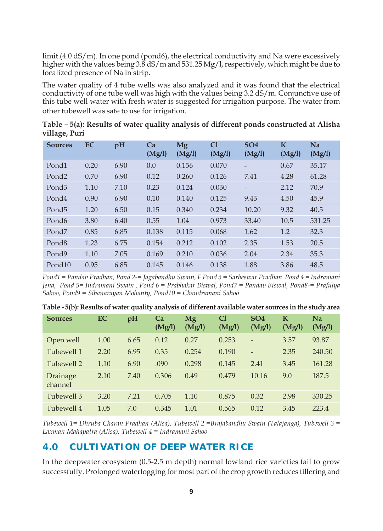limit (4.0 dS/m). In one pond (pond6), the electrical conductivity and Na were excessively higher with the values being  $3.\overline{8}$  dS/m and  $531.25$  Mg/l, respectively, which might be due to localized presence of Na in strip.

The water quality of 4 tube wells was also analyzed and it was found that the electrical conductivity of one tube well was high with the values being 3.2 dS/m. Conjunctive use of this tube well water with fresh water is suggested for irrigation purpose. The water from other tubewell was safe to use for irrigation.

|               |  | Table – 5(a): Results of water quality analysis of different ponds constructed at Alisha |  |
|---------------|--|------------------------------------------------------------------------------------------|--|
| village, Puri |  |                                                                                          |  |

| <b>Sources</b>     | <b>EC</b> | pH   | Ca<br>(Mg/l) | Mg<br>(Mg/l) | C <sub>1</sub><br>(Mg/l) | SO <sub>4</sub><br>(Mg/l) | K<br>(Mg/l) | Na<br>(Mg/l) |
|--------------------|-----------|------|--------------|--------------|--------------------------|---------------------------|-------------|--------------|
| Pond1              | 0.20      | 6.90 | 0.0          | 0.156        | 0.070                    |                           | 0.67        | 35.17        |
| Pond <sub>2</sub>  | 0.70      | 6.90 | 0.12         | 0.260        | 0.126                    | 7.41                      | 4.28        | 61.28        |
| Pond <sub>3</sub>  | 1.10      | 7.10 | 0.23         | 0.124        | 0.030                    | -                         | 2.12        | 70.9         |
| Pond4              | 0.90      | 6.90 | 0.10         | 0.140        | 0.125                    | 9.43                      | 4.50        | 45.9         |
| Pond <sub>5</sub>  | 1.20      | 6.50 | 0.15         | 0.340        | 0.234                    | 10.20                     | 9.32        | 40.5         |
| Pond <sub>6</sub>  | 3.80      | 6.40 | 0.55         | 1.04         | 0.973                    | 33.40                     | 10.5        | 531.25       |
| Pond <sub>7</sub>  | 0.85      | 6.85 | 0.138        | 0.115        | 0.068                    | 1.62                      | 1.2         | 32.3         |
| Pond <sub>8</sub>  | 1.23      | 6.75 | 0.154        | 0.212        | 0.102                    | 2.35                      | 1.53        | 20.5         |
| Pond9              | 1.10      | 7.05 | 0.169        | 0.210        | 0.036                    | 2.04                      | 2.34        | 35.3         |
| Pond <sub>10</sub> | 0.95      | 6.85 | 0.145        | 0.146        | 0.138                    | 1.88                      | 3.86        | 48.5         |

*Pond1 = Pandav Pradhan, Pond 2-= Jagabandhu Swain, F Pond 3 = Sarbeswar Pradhan Pond 4 = Indramani Jena, Pond 5= Indramani Swain , Pond 6 = Prabhakar Biswal, Pond7 = Pandav Biswal, Pond8-= Prafulya Sahoo, Pond9 = Sibanarayan Mohanty, Pond10 = Chandramani Sahoo*

| <b>Sources</b>      | <b>EC</b> | pH   | Ca<br>(Mg/l) | Mg<br>(Mg/l) | C <sub>1</sub><br>(Mg/l) | SO <sub>4</sub><br>(Mg/l) | К<br>(Mg/l) | Na<br>(Mg/l) |
|---------------------|-----------|------|--------------|--------------|--------------------------|---------------------------|-------------|--------------|
| Open well           | 1.00      | 6.65 | 0.12         | 0.27         | 0.253                    | $\overline{\phantom{0}}$  | 3.57        | 93.87        |
| Tubewell 1          | 2.20      | 6.95 | 0.35         | 0.254        | 0.190                    | $\overline{a}$            | 2.35        | 240.50       |
| Tubewell 2          | 1.10      | 6.90 | .090         | 0.298        | 0.145                    | 2.41                      | 3.45        | 161.28       |
| Drainage<br>channel | 2.10      | 7.40 | 0.306        | 0.49         | 0.479                    | 10.16                     | 9.0         | 187.5        |
| Tubewell 3          | 3.20      | 7.21 | 0.705        | 1.10         | 0.875                    | 0.32                      | 2.98        | 330.25       |
| Tubewell 4          | 1.05      | 7.0  | 0.345        | 1.01         | 0.565                    | 0.12                      | 3.45        | 223.4        |

**Table - 5(b): Results of water quality analysis of different available water sources in the study area**

*Tubewell 1= Dhruba Charan Pradhan (Alisa), Tubewell 2 =Brajabandhu Swain (Talajanga), Tubewell 3 = Laxman Mahapatra (Alisa), Tubewell 4 = Indramani Sahoo*

# **4.0 CULTIVATION OF DEEP WATER RICE**

In the deepwater ecosystem (0.5-2.5 m depth) normal lowland rice varieties fail to grow successfully. Prolonged waterlogging for most part of the crop growth reduces tillering and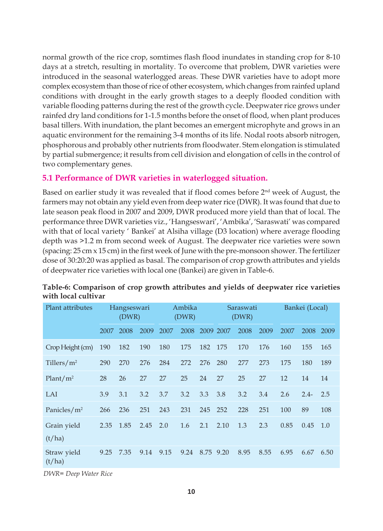normal growth of the rice crop, somtimes flash flood inundates in standing crop for 8-10 days at a stretch, resulting in mortality. To overcome that problem, DWR varieties were introduced in the seasonal waterlogged areas. These DWR varieties have to adopt more complex ecosystem than those of rice of other ecosystem, which changes from rainfed upland conditions with drought in the early growth stages to a deeply flooded condition with variable flooding patterns during the rest of the growth cycle. Deepwater rice grows under rainfed dry land conditions for 1-1.5 months before the onset of flood, when plant produces basal tillers. With inundation, the plant becomes an emergent microphyte and grows in an aquatic environment for the remaining 3-4 months of its life. Nodal roots absorb nitrogen, phosphorous and probably other nutrients from floodwater. Stem elongation is stimulated by partial submergence; it results from cell division and elongation of cells in the control of two complementary genes.

#### **5.1 Performance of DWR varieties in waterlogged situation.**

Based on earlier study it was revealed that if flood comes before 2nd week of August, the farmers may not obtain any yield even from deep water rice (DWR). It was found that due to late season peak flood in 2007 and 2009, DWR produced more yield than that of local. The performance three DWR varieties viz., 'Hangseswari', 'Ambika', 'Saraswati' was compared with that of local variety ' Bankei' at Alsiha village (D3 location) where average flooding depth was >1.2 m from second week of August. The deepwater rice varieties were sown (spacing: 25 cm x 15 cm) in the first week of June with the pre-monsoon shower. The fertilizer dose of 30:20:20 was applied as basal. The comparison of crop growth attributes and yields of deepwater rice varieties with local one (Bankei) are given in Table-6.

| Plant attributes      |      | Hangseswari<br>(DWR) |      |      | Ambika<br>(DWR) |      |           | Saraswati<br>(DWR) |      |      | Bankei (Local) |      |
|-----------------------|------|----------------------|------|------|-----------------|------|-----------|--------------------|------|------|----------------|------|
|                       | 2007 | 2008                 | 2009 | 2007 | 2008            |      | 2009 2007 | 2008               | 2009 | 2007 | 2008           | 2009 |
| Crop Height (cm)      | 190  | 182                  | 190  | 180  | 175             | 182  | 175       | 170                | 176  | 160  | 155            | 165  |
| Tillers/ $m2$         | 290  | 270                  | 276  | 284  | 272             | 276  | 280       | 277                | 273  | 175  | 180            | 189  |
| Plant/m <sup>2</sup>  | 28   | 26                   | 27   | 27   | 25              | 24   | 27        | 25                 | 27   | 12   | 14             | 14   |
| LAI                   | 3.9  | 3.1                  | 3.2  | 3.7  | 3.2             | 3.3  | 3.8       | 3.2                | 3.4  | 2.6  | $2.4-$         | 2.5  |
| Panicles/ $m2$        | 266  | 236                  | 251  | 243  | 231             | 245  | 252       | 228                | 251  | 100  | 89             | 108  |
| Grain yield<br>(t/ha) | 2.35 | 1.85                 | 2.45 | 2.0  | 1.6             | 2.1  | 2.10      | 1.3                | 2.3  | 0.85 | 0.45           | 1.0  |
| Straw yield<br>(t/ha) | 9.25 | 7.35                 | 9.14 | 9.15 | 9.24            | 8.75 | 9.20      | 8.95               | 8.55 | 6.95 | 6.67           | 6.50 |

#### **Table-6: Comparison of crop growth attributes and yields of deepwater rice varieties with local cultivar**

*DWR= Deep Water Rice*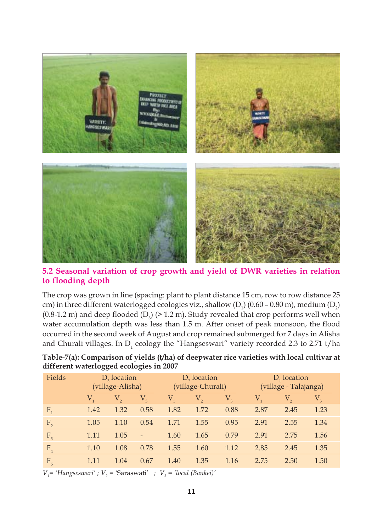

**5.2 Seasonal variation of crop growth and yield of DWR varieties in relation to flooding depth**

The crop was grown in line (spacing: plant to plant distance 15 cm, row to row distance 25 cm) in three different waterlogged ecologies viz., shallow (D<sub>1</sub>) (0.60 – 0.80 m), medium (D<sub>2</sub>) (0.8-1.2 m) and deep flooded (D<sub>3</sub>) ( $>$  1.2 m). Study revealed that crop performs well when water accumulation depth was less than 1.5 m. After onset of peak monsoon, the flood occurred in the second week of August and crop remained submerged for 7 days in Alisha and Churali villages. In  $D_1$  ecology the "Hangseswari" variety recorded 2.3 to 2.71 t/ha

| Fields         |                | $D_3$ location<br>(village-Alisha) |                          |         | $D2$ location<br>(village-Churali) |             | $D_1$ location<br>(village - Talajanga) |      |         |  |  |
|----------------|----------------|------------------------------------|--------------------------|---------|------------------------------------|-------------|-----------------------------------------|------|---------|--|--|
|                | $V_{\text{L}}$ | $\rm V,$                           | $V_{\rm a}$              | $V_{1}$ | V,                                 | $V_{\rm a}$ | $V_{1}$                                 | V,   | $V_{3}$ |  |  |
| $F_{1}$        | 1.42           | 1.32                               | 0.58                     | 1.82    | 1.72                               | 0.88        | 2.87                                    | 2.45 | 1.23    |  |  |
| $F_{2}$        | 1.05           | 1.10                               | 0.54                     | 1.71    | 1.55                               | 0.95        | 2.91                                    | 2.55 | 1.34    |  |  |
| F <sub>3</sub> | 1.11           | 1.05                               | $\overline{\phantom{0}}$ | 1.60    | 1.65                               | 0.79        | 2.91                                    | 2.75 | 1.56    |  |  |
| F <sub>4</sub> | 1.10           | 1.08                               | 0.78                     | 1.55    | 1.60                               | 1.12        | 2.85                                    | 2.45 | 1.35    |  |  |
| F <sub>5</sub> | 1.11           | 1.04                               | 0.67                     | 1.40    | 1.35                               | 1.16        | 2.75                                    | 2.50 | 1.50    |  |  |

**Table-7(a): Comparison of yields (t/ha) of deepwater rice varieties with local cultivar at different waterlogged ecologies in 2007**

 $V_1$ <sup>=</sup> 'Hangseswari' ;  $V_2$  = 'Saraswati' ;  $V_3$  = 'local (Bankei)'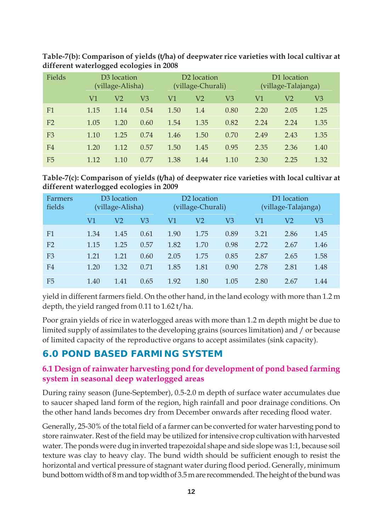| Fields         |      | D <sub>3</sub> location<br>(village-Alisha) |      |      | D <sub>2</sub> location<br>(village-Churali) |      | D1 location<br>(village-Talajanga) |      |      |  |
|----------------|------|---------------------------------------------|------|------|----------------------------------------------|------|------------------------------------|------|------|--|
|                | V1   | V2                                          | V3   | V1   | V <sub>2</sub>                               | V3   | V1                                 | V2   | V3   |  |
| F1             | 1.15 | 1.14                                        | 0.54 | 1.50 | 1.4                                          | 0.80 | 2.20                               | 2.05 | 1.25 |  |
| F <sub>2</sub> | 1.05 | 1.20                                        | 0.60 | 1.54 | 1.35                                         | 0.82 | 2.24                               | 2.24 | 1.35 |  |
| F <sub>3</sub> | 1.10 | 1.25                                        | 0.74 | 1.46 | 1.50                                         | 0.70 | 2.49                               | 2.43 | 1.35 |  |
| F4             | 1.20 | 1.12                                        | 0.57 | 1.50 | 1.45                                         | 0.95 | 2.35                               | 2.36 | 1.40 |  |
| F <sub>5</sub> | 1.12 | 1.10                                        | 0.77 | 1.38 | 1.44                                         | 1.10 | 2.30                               | 2.25 | 1.32 |  |

**Table-7(b): Comparison of yields (t/ha) of deepwater rice varieties with local cultivar at different waterlogged ecologies in 2008**

**Table-7(c): Comparison of yields (t/ha) of deepwater rice varieties with local cultivar at different waterlogged ecologies in 2009**

| Farmers<br>fields |      | D3 location<br>(village-Alisha) |      |      | D <sub>2</sub> location<br>(village-Churali) |      | D1 location<br>(village-Talajanga) |      |      |  |  |
|-------------------|------|---------------------------------|------|------|----------------------------------------------|------|------------------------------------|------|------|--|--|
|                   | V1   | V2                              | V3   | V1   | V2                                           | V3   | V1                                 | V2   | V3   |  |  |
| F1                | 1.34 | 1.45                            | 0.61 | 1.90 | 1.75                                         | 0.89 | 3.21                               | 2.86 | 1.45 |  |  |
| F <sub>2</sub>    | 1.15 | 1.25                            | 0.57 | 1.82 | 1.70                                         | 0.98 | 2.72                               | 2.67 | 1.46 |  |  |
| F <sub>3</sub>    | 1.21 | 1.21                            | 0.60 | 2.05 | 1.75                                         | 0.85 | 2.87                               | 2.65 | 1.58 |  |  |
| F4                | 1.20 | 1.32                            | 0.71 | 1.85 | 1.81                                         | 0.90 | 2.78                               | 2.81 | 1.48 |  |  |
| F <sub>5</sub>    | 1.40 | 1.41                            | 0.65 | 1.92 | 1.80                                         | 1.05 | 2.80                               | 2.67 | 1.44 |  |  |

yield in different farmers field. On the other hand, in the land ecology with more than 1.2 m depth, the yield ranged from 0.11 to 1.62 t/ha.

Poor grain yields of rice in waterlogged areas with more than 1.2 m depth might be due to limited supply of assimilates to the developing grains (sources limitation) and / or because of limited capacity of the reproductive organs to accept assimilates (sink capacity).

# **6.0 POND BASED FARMING SYSTEM**

# **6.1 Design of rainwater harvesting pond for development of pond based farming system in seasonal deep waterlogged areas**

During rainy season (June-September), 0.5-2.0 m depth of surface water accumulates due to saucer shaped land form of the region, high rainfall and poor drainage conditions. On the other hand lands becomes dry from December onwards after receding flood water.

Generally, 25-30% of the total field of a farmer can be converted for water harvesting pond to store rainwater. Rest of the field may be utilized for intensive crop cultivation with harvested water. The ponds were dug in inverted trapezoidal shape and side slope was 1:1, because soil texture was clay to heavy clay. The bund width should be sufficient enough to resist the horizontal and vertical pressure of stagnant water during flood period. Generally, minimum bund bottom width of 8 m and top width of 3.5 m are recommended. The height of the bund was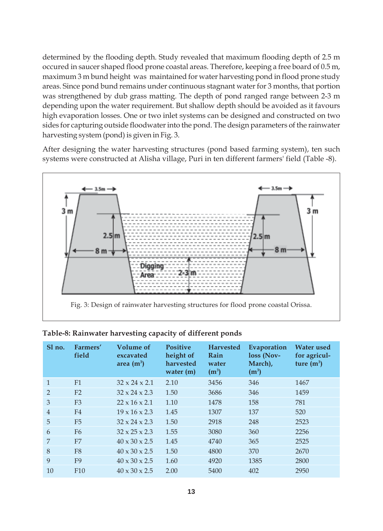determined by the flooding depth. Study revealed that maximum flooding depth of 2.5 m occured in saucer shaped flood prone coastal areas. Therefore, keeping a free board of 0.5 m, maximum 3 m bund height was maintained for water harvesting pond in flood prone study areas. Since pond bund remains under continuous stagnant water for 3 months, that portion was strengthened by dub grass matting. The depth of pond ranged range between 2-3 m depending upon the water requirement. But shallow depth should be avoided as it favours high evaporation losses. One or two inlet systems can be designed and constructed on two sides for capturing outside floodwater into the pond. The design parameters of the rainwater harvesting system (pond) is given in Fig. 3.

After designing the water harvesting structures (pond based farming system), ten such systems were constructed at Alisha village, Puri in ten different farmers' field (Table -8).



| Sl no.         | Farmers'<br>field | Volume of<br>excavated<br>area $(m^3)$ | <b>Positive</b><br>height of<br>harvested<br>water $(m)$ | <b>Harvested</b><br>Rain<br>water<br>$(m^3)$ | Evaporation<br>loss (Nov-<br>March),<br>$(m^3)$ | <b>Water</b> used<br>for agricul-<br>ture $(m^3)$ |
|----------------|-------------------|----------------------------------------|----------------------------------------------------------|----------------------------------------------|-------------------------------------------------|---------------------------------------------------|
| 1              | F1                | $32 \times 24 \times 2.1$              | 2.10                                                     | 3456                                         | 346                                             | 1467                                              |
| $\mathcal{P}$  | F <sub>2</sub>    | $32 \times 24 \times 2.3$              | 1.50                                                     | 3686                                         | 346                                             | 1459                                              |
| 3              | F <sub>3</sub>    | $22 \times 16 \times 2.1$              | 1.10                                                     | 1478                                         | 158                                             | 781                                               |
| $\overline{4}$ | F <sub>4</sub>    | $19 \times 16 \times 2.3$              | 1.45                                                     | 1307                                         | 137                                             | 520                                               |
| 5              | F <sub>5</sub>    | $32 \times 24 \times 2.3$              | 1.50                                                     | 2918                                         | 248                                             | 2523                                              |
| 6              | F6                | $32 \times 25 \times 2.3$              | 1.55                                                     | 3080                                         | 360                                             | 2256                                              |
| 7              | F7                | $40 \times 30 \times 2.5$              | 1.45                                                     | 4740                                         | 365                                             | 2525                                              |
| 8              | F <sub>8</sub>    | $40 \times 30 \times 2.5$              | 1.50                                                     | 4800                                         | 370                                             | 2670                                              |
| 9              | F <sub>9</sub>    | $40 \times 30 \times 2.5$              | 1.60                                                     | 4920                                         | 1385                                            | 2800                                              |
| 10             | F10               | $40 \times 30 \times 2.5$              | 2.00                                                     | 5400                                         | 402                                             | 2950                                              |

#### **Table-8: Rainwater harvesting capacity of different ponds**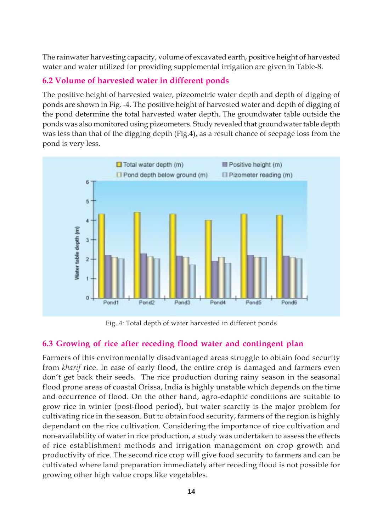The rainwater harvesting capacity, volume of excavated earth, positive height of harvested water and water utilized for providing supplemental irrigation are given in Table-8.

# **6.2 Volume of harvested water in different ponds**

The positive height of harvested water, pizeometric water depth and depth of digging of ponds are shown in Fig. -4. The positive height of harvested water and depth of digging of the pond determine the total harvested water depth. The groundwater table outside the ponds was also monitored using pizeometers. Study revealed that groundwater table depth was less than that of the digging depth (Fig.4), as a result chance of seepage loss from the pond is very less.



Fig. 4: Total depth of water harvested in different ponds

# **6.3 Growing of rice after receding flood water and contingent plan**

Farmers of this environmentally disadvantaged areas struggle to obtain food security from *kharif* rice. In case of early flood, the entire crop is damaged and farmers even don't get back their seeds. The rice production during rainy season in the seasonal flood prone areas of coastal Orissa, India is highly unstable which depends on the time and occurrence of flood. On the other hand, agro-edaphic conditions are suitable to grow rice in winter (post-flood period), but water scarcity is the major problem for cultivating rice in the season. But to obtain food security, farmers of the region is highly dependant on the rice cultivation. Considering the importance of rice cultivation and non-availability of water in rice production, a study was undertaken to assess the effects of rice establishment methods and irrigation management on crop growth and productivity of rice. The second rice crop will give food security to farmers and can be cultivated where land preparation immediately after receding flood is not possible for growing other high value crops like vegetables.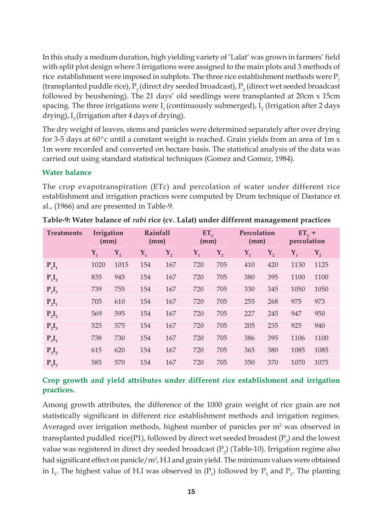In this study a medium duration, high yielding variety of 'Lalat' was grown in farmers' field with split plot design where 3 irrigations were assigned to the main plots and 3 methods of rice establishment were imposed in subplots. The three rice establishment methods were  $P_1$ (transplanted puddle rice),  $P_2$  (direct dry seeded broadcast),  $P_3$  (direct wet seeded broadcast followed by beushening). The 21 days' old seedlings were transplanted at 20cm x 15cm spacing. The three irrigations were  $\text{I}_1$  (continuously submerged),  $\text{I}_2$  (Irrigation after 2 days drying),  $I_3$  (Irrigation after 4 days of drying).

The dry weight of leaves, stems and panicles were determined separately after over drying for 3-5 days at 60<sup>°</sup>c until a constant weight is reached. Grain yields from an area of 1m  $x$ 1m were recorded and converted on hectare basis. The statistical analysis of the data was carried out using standard statistical techniques (Gomez and Gomez, 1984).

#### **Water balance**

The crop evapotranspiration (ETc) and percolation of water under different rice establishment and irrigation practices were computed by Drum technique of Dastance et al., (1966) and are presented in Table-9.

| <b>Treatments</b> | Irrigation<br>(mm) |                  |                  | Rainfall<br>(mm) |       | $ET_C$<br>(mm)   | Percolation<br>(mm) |         | $ET_c +$<br>percolation |                  |
|-------------------|--------------------|------------------|------------------|------------------|-------|------------------|---------------------|---------|-------------------------|------------------|
|                   | $Y_1$              | $\mathbf{Y}_{2}$ | $\mathbf{Y}_{1}$ | $\mathbf{Y}_{2}$ | $Y_1$ | $\mathbf{Y}_{2}$ | $Y_1$               | $Y_{2}$ | $\mathbf{Y}_{1}$        | $\mathbf{Y}_{2}$ |
| $P_1I_1$          | 1020               | 1015             | 154              | 167              | 720   | 705              | 410                 | 420     | 1130                    | 1125             |
| $P_1I_2$          | 835                | 945              | 154              | 167              | 720   | 705              | 380                 | 395     | 1100                    | 1100             |
| $P_1I_3$          | 739                | 755              | 154              | 167              | 720   | 705              | 330                 | 345     | 1050                    | 1050             |
| $P_2I_1$          | 705                | 610              | 154              | 167              | 720   | 705              | 255                 | 268     | 975                     | 973              |
| $P_2I_2$          | 569                | 595              | 154              | 167              | 720   | 705              | 227                 | 245     | 947                     | 950              |
| $P_2I_3$          | 525                | 575              | 154              | 167              | 720   | 705              | 205                 | 235     | 925                     | 940              |
| $P_3I_1$          | 738                | 730              | 154              | 167              | 720   | 705              | 386                 | 395     | 1106                    | 1100             |
| $P_3I_2$          | 615                | 620              | 154              | 167              | 720   | 705              | 365                 | 380     | 1085                    | 1085             |
| $P_3I_3$          | 585                | 570              | 154              | 167              | 720   | 705              | 350                 | 370     | 1070                    | 1075             |

**Table-9: Water balance of** *rabi* **rice (cv. Lalat) under different management practices**

#### **Crop growth and yield attributes under different rice establishment and irrigation practices.**

Among growth attributes, the difference of the 1000 grain weight of rice grain are not statistically significant in different rice establishment methods and irrigation regimes. Averaged over irrigation methods, highest number of panicles per  $m<sup>2</sup>$  was observed in transplanted puddled  $rice(P1)$ , followed by direct wet seeded broadest  $(P_3)$  and the lowest value was registered in direct dry seeded broadcast ( $P_2$ ) (Table-10). Irrigation regime also had significant effect on panicle/m<sup>2</sup>, H.I and grain yield. The minimum values were obtained in  $I_3$ . The highest value of H.I was observed in  $(P_1)$  followed by  $P_3$  and  $P_2$ . The planting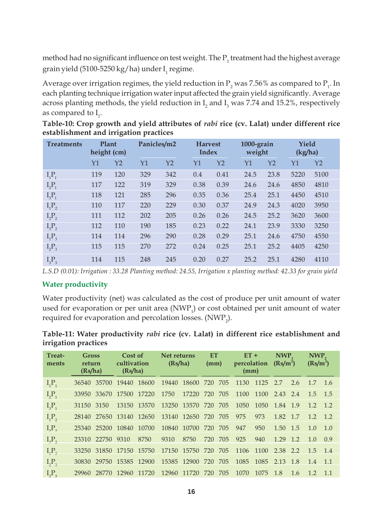method had no significant influence on test weight. The  $\mathrm{P_{1}}$  treatment had the highest average grain yield (5100-5250 kg/ha) under  $I_i$  regime.

Average over irrigation regimes, the yield reduction in  $\rm P_2$  was 7.56% as compared to  $\rm P_1$ . In each planting technique irrigation water input affected the grain yield significantly. Average across planting methods, the yield reduction in  $\mathrm{I}_\mathrm{2}$  and  $\mathrm{I}_\mathrm{3}$  was 7.74 and 15.2%, respectively as compared to  $I_1$ .

| <b>Treatments</b> |     | Plant<br>height (cm) | Panicles/m2 |                | <b>Harvest</b><br>Index |                | 1000-grain<br>weight |                | Yield<br>(kg/ha) |                |  |
|-------------------|-----|----------------------|-------------|----------------|-------------------------|----------------|----------------------|----------------|------------------|----------------|--|
|                   | Y1  | Y2                   | Y1          | Y <sub>2</sub> | Υ1                      | Y <sub>2</sub> | Y1                   | Y <sub>2</sub> | Y1               | Y <sub>2</sub> |  |
| $I_1P_1$          | 119 | 120                  | 329         | 342            | 0.4                     | 0.41           | 24.5                 | 23.8           | 5220             | 5100           |  |
| $I_2P_1$          | 117 | 122                  | 319         | 329            | 0.38                    | 0.39           | 24.6                 | 24.6           | 4850             | 4810           |  |
| $I_3P_1$          | 118 | 121                  | 285         | 296            | 0.35                    | 0.36           | 25.4                 | 25.1           | 4450             | 4510           |  |
| $I_1P_2$          | 110 | 117                  | 220         | 229            | 0.30                    | 0.37           | 24.9                 | 24.3           | 4020             | 3950           |  |
| $I_2P_2$          | 111 | 112                  | 202         | 205            | 0.26                    | 0.26           | 24.5                 | 25.2           | 3620             | 3600           |  |
| $I_3P_2$          | 112 | 110                  | 190         | 185            | 0.23                    | 0.22           | 24.1                 | 23.9           | 3330             | 3250           |  |
| $I_1P_3$          | 114 | 114                  | 296         | 290            | 0.28                    | 0.29           | 25.1                 | 24.6           | 4750             | 4550           |  |
| $I_2P_3$          | 115 | 115                  | 270         | 272            | 0.24                    | 0.25           | 25.1                 | 25.2           | 4405             | 4250           |  |
| $I_3P_3$          | 114 | 115                  | 248         | 245            | 0.20                    | 0.27           | 25.2                 | 25.1           | 4280             | 4110           |  |

**Table-10: Crop growth and yield attributes of** *rabi* **rice (cv. Lalat) under different rice establishment and irrigation practices**

*L.S.D (0.01): Irrigation : 33.28 Planting method: 24.55, Irrigation x planting method: 42.33 for grain yield*

#### **Water productivity**

Water productivity (net) was calculated as the cost of produce per unit amount of water used for evaporation or per unit area  $(NWP_1)$  or cost obtained per unit amount of water required for evaporation and percolation losses.  $(\mathrm{NWP}_2)$ .

|                      | Table-11: Water productivity <i>rabi</i> rice (cv. Lalat) in different rice establishment and |  |  |  |
|----------------------|-----------------------------------------------------------------------------------------------|--|--|--|
| irrigation practices |                                                                                               |  |  |  |

| Treat-<br>ments | <b>Gross</b><br>return<br>(Rs/ha)           | Cost of<br>cultivation<br>(Rs/ha) |                   | Net returns<br>(Rs/ha) |                     | ET<br>(mm) | $ET +$<br>percolation<br>(mm) |      | NWP.<br>$(Rs/m^3)$ |     | NWP <sub>2</sub><br>$(Rs/m^3)$ |        |
|-----------------|---------------------------------------------|-----------------------------------|-------------------|------------------------|---------------------|------------|-------------------------------|------|--------------------|-----|--------------------------------|--------|
| $I_1P_1$        | 36540                                       | 35700 19440 18600                 |                   |                        | 19440 18600 720 705 |            | 1130 1125                     |      | 2.7                | 2.6 | $1.7 \quad 1.6$                |        |
| $I_2P_1$        | 33950                                       | 33670 17500 17220                 |                   | 1750                   | 17220 720 705       |            | 1100 1100                     |      | 2.43 2.4           |     | $1.5$ 1.5                      |        |
| $I_3P_1$        | 31150 3150                                  | 13150 13570                       |                   |                        | 13250 13570 720 705 |            | 1050                          | 1050 | 1.84 1.9           |     | $1.2 \quad 1.2$                |        |
| $I_1P_2$        | 28140 27650 13140 12650 13140 12650 720 705 |                                   |                   |                        |                     |            | 975                           | 973  | 1.82 1.7           |     | 12, 12                         |        |
| $I_2P_2$        | 25340 25200 10840 10700                     |                                   |                   |                        | 10840 10700 720 705 |            | 947                           | 950  | 1.50 1.5           |     | 1.0                            | 1.0    |
| $I_{3}P_{2}$    | 23310 22750 9310                            |                                   | 8750              | 9310                   | 8750                | 720 705    | 925                           | 940  | 1.29 1.2           |     | 1.0                            | 0.9    |
| $I_1P_3$        | 33250                                       |                                   | 31850 17150 15750 |                        | 17150 15750 720 705 |            | 1106 1100                     |      | 2.38 2.2           |     | 15 14                          |        |
| $I_2P_3$        | 30830                                       | 29750 15385 12900                 |                   |                        | 15385 12900 720 705 |            | 1085                          | 1085 | 2.13               | 1.8 | 1.4                            | $-1.1$ |
| $I_3P_3$        | 29960 28770 12960 11720 12960 11720 720 705 |                                   |                   |                        |                     |            | 1070 1075                     |      | -1.8               | 1.6 | $1.2 \quad 1.1$                |        |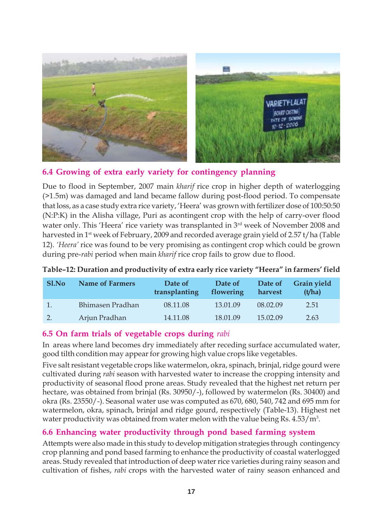

# **6.4 Growing of extra early variety for contingency planning**

Due to flood in September, 2007 main *kharif* rice crop in higher depth of waterlogging (>1.5m) was damaged and land became fallow during post-flood period. To compensate that loss, as a case study extra rice variety, 'Heera' was grown with fertilizer dose of 100:50:50 (N:P:K) in the Alisha village, Puri as acontingent crop with the help of carry-over flood water only. This 'Heera' rice variety was transplanted in 3<sup>rd</sup> week of November 2008 and harvested in 1<sup>st</sup> week of February, 2009 and recorded average grain yield of 2.57 t/ha (Table 12). *'Heera'* rice was found to be very promising as contingent crop which could be grown during pre-*rabi* period when main *kharif* rice crop fails to grow due to flood.

| Sl.No | <b>Name of Farmers</b> | Date of<br>transplanting | Date of<br>flowering | Date of<br>harvest | <b>Grain yield</b><br>(t/ha) |
|-------|------------------------|--------------------------|----------------------|--------------------|------------------------------|
|       | Bhimasen Pradhan       | 08.11.08                 | 13.01.09             | 08.02.09           | 2.51                         |
| 2.    | Arjun Pradhan          | 14.11.08                 | 18.01.09             | 15.02.09           | 2.63                         |

#### **Table–12: Duration and productivity of extra early rice variety "Heera" in farmers' field**

# **6.5 On farm trials of vegetable crops during** *rabi*

In areas where land becomes dry immediately after receding surface accumulated water, good tilth condition may appear for growing high value crops like vegetables.

Five salt resistant vegetable crops like watermelon, okra, spinach, brinjal, ridge gourd were cultivated during *rabi* season with harvested water to increase the cropping intensity and productivity of seasonal flood prone areas. Study revealed that the highest net return per hectare, was obtained from brinjal (Rs. 30950/-), followed by watermelon (Rs. 30400) and okra (Rs. 23550/-). Seasonal water use was computed as 670, 680, 540, 742 and 695 mm for watermelon, okra, spinach, brinjal and ridge gourd, respectively (Table-13). Highest net water productivity was obtained from water melon with the value being Rs.  $4.53/m<sup>3</sup>$ .

# **6.6 Enhancing water productivity through pond based farming system**

Attempts were also made in this study to develop mitigation strategies through contingency crop planning and pond based farming to enhance the productivity of coastal waterlogged areas. Study revealed that introduction of deep water rice varieties during rainy season and cultivation of fishes, *rabi* crops with the harvested water of rainy season enhanced and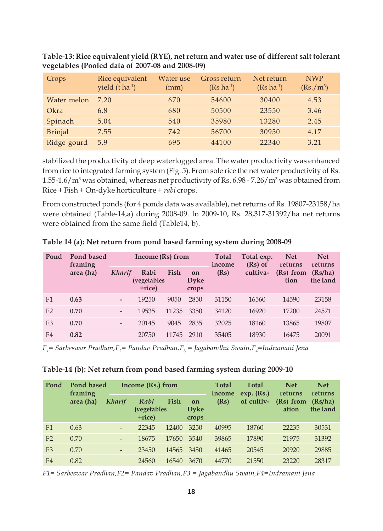| Crops          | Rice equivalent<br>yield $(t \, ha^{-1})$ | Water use<br>(mm) | Gross return<br>$(Rs \text{ ha}^{-1})$ | Net return<br>$(Rs \text{ ha}^{-1})$ | <b>NWP</b><br>$(Rs./m^3)$ |
|----------------|-------------------------------------------|-------------------|----------------------------------------|--------------------------------------|---------------------------|
| Water melon    | 7.20                                      | 670               | 54600                                  | 30400                                | 4.53                      |
| Okra           | 6.8                                       | 680               | 50500                                  | 23550                                | 3.46                      |
| Spinach        | 5.04                                      | 540               | 35980                                  | 13280                                | 2.45                      |
| <b>Brinjal</b> | 7.55                                      | 742               | 56700                                  | 30950                                | 4.17                      |
| Ridge gourd    | 5.9                                       | 695               | 44100                                  | 22340                                | 3.21                      |

**Table-13: Rice equivalent yield (RYE), net return and water use of different salt tolerant vegetables (Pooled data of 2007-08 and 2008-09)**

stabilized the productivity of deep waterlogged area. The water productivity was enhanced from rice to integrated farming system (Fig. 5). From sole rice the net water productivity of Rs.  $1.55$ - $1.6/m^3$  was obtained, whereas net productivity of Rs. 6.98 - 7.26/m $^3$  was obtained from Rice + Fish + On-dyke horticulture + *rabi* crops.

From constructed ponds (for 4 ponds data was available), net returns of Rs. 19807-23158/ha were obtained (Table-14,a) during 2008-09. In 2009-10, Rs. 28,317-31392/ha net returns were obtained from the same field (Table14, b).

| Pond           | Pond based<br>framing |                          | Income $(Rs)$ from                    |       |                            | <b>Total</b><br>income | Total exp.<br>$(Rs)$ of | <b>Net</b><br>returns | <b>Net</b><br>returns |  |
|----------------|-----------------------|--------------------------|---------------------------------------|-------|----------------------------|------------------------|-------------------------|-----------------------|-----------------------|--|
|                | area (ha)             | Kharif                   | Rabi<br><i>(vegetables)</i><br>+rice) | Fish  | on<br><b>Dyke</b><br>crops | (Rs)                   | cultiva-                | (Rs) from<br>tion     | (Rs/ha)<br>the land   |  |
| F1             | 0.63                  |                          | 19250                                 | 9050  | 2850                       | 31150                  | 16560                   | 14590                 | 23158                 |  |
| F <sub>2</sub> | 0.70                  |                          | 19535                                 | 11235 | 3350                       | 34120                  | 16920                   | 17200                 | 24571                 |  |
| F <sub>3</sub> | 0.70                  | $\overline{\phantom{0}}$ | 20145                                 | 9045  | 2835                       | 32025                  | 18160                   | 13865                 | 19807                 |  |
| F4             | 0.82                  |                          | 20750                                 | 11745 | 2910                       | 35405                  | 18930                   | 16475                 | 20091                 |  |

**Table 14 (a): Net return from pond based farming system during 2008-09**

*F1 = Sarbeswar Pradhan,F2 = Pandav Pradhan,F3 = Jagabandhu Swain,F4 =Indramani Jena*

|  |  |  |  | Table-14 (b): Net return from pond based farming system during 2009-10 |
|--|--|--|--|------------------------------------------------------------------------|
|--|--|--|--|------------------------------------------------------------------------|

| Pond           | Pond based<br>framing | Income (Rs.) from        |                                      |                                    | <b>Total</b><br>income | <b>Total</b><br>$exp.$ (Rs.) | <b>Net</b><br>returns | <b>Net</b><br>returns |       |
|----------------|-----------------------|--------------------------|--------------------------------------|------------------------------------|------------------------|------------------------------|-----------------------|-----------------------|-------|
|                | area (ha)             | Kharif                   | Rabi<br><i>(vegetables</i><br>+rice) | Fish<br>on<br><b>Dyke</b><br>crops | (Rs)                   | of cultiv-                   | (Rs) from<br>ation    | (Rs/ha)<br>the land   |       |
| F1             | 0.63                  | $\qquad \qquad -$        | 22345                                | 12400                              | 3250                   | 40995                        | 18760                 | 22235                 | 30531 |
| F <sub>2</sub> | 0.70                  | $\qquad \qquad -$        | 18675                                | 17650                              | 3540                   | 39865                        | 17890                 | 21975                 | 31392 |
| F <sub>3</sub> | 0.70                  | $\overline{\phantom{a}}$ | 23450                                | 14565                              | 3450                   | 41465                        | 20545                 | 20920                 | 29885 |
| F <sub>4</sub> | 0.82                  |                          | 24560                                | 16540                              | 3670                   | 44770                        | 21550                 | 23220                 | 28317 |

*F1= Sarbeswar Pradhan,F2= Pandav Pradhan,F3 = Jagabandhu Swain,F4=Indramani Jena*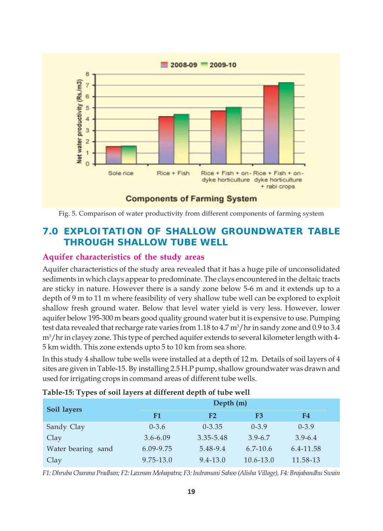



# **7.0 EXPLOITATION OF SHALLOW GROUNDWATER TABLE THROUGH SHALLOW TUBE WELL**

#### **Aquifer characteristics of the study areas**

Aquifer characteristics of the study area revealed that it has a huge pile of unconsolidated sediments in which clays appear to predominate. The clays encountered in the deltaic tracts are sticky in nature. However there is a sandy zone below 5-6 m and it extends up to a depth of 9 m to 11 m where feasibility of very shallow tube well can be explored to exploit shallow fresh ground water. Below that level water yield is very less. However, lower aquifer below 195-300 m bears good quality ground water but it is expensive to use. Pumping test data revealed that recharge rate varies from 1.18 to 4.7  $\mathrm{m}^3/\mathrm{hr}$  in sandy zone and 0.9 to 3.4 m3 /hr in clayey zone. This type of perched aquifer extends to several kilometer length with 4- 5 km width. This zone extends upto 5 to 10 km from sea shore.

In this study 4 shallow tube wells were installed at a depth of 12 m. Details of soil layers of 4 sites are given in Table-15. By installing 2.5 H.P pump, shallow groundwater was drawn and used for irrigating crops in command areas of different tube wells.

| Soil layers        |              | Depth (m)      |               |             |  |  |  |  |
|--------------------|--------------|----------------|---------------|-------------|--|--|--|--|
|                    | F1           | F <sub>2</sub> | F3            | F4          |  |  |  |  |
| Sandy Clay         | $0 - 3.6$    | $0 - 3.35$     | $0 - 3.9$     | $0 - 3.9$   |  |  |  |  |
| Clay               | $3.6 - 6.09$ | 3.35-5.48      | $3.9 - 6.7$   | $3.9 - 6.4$ |  |  |  |  |
| Water bearing sand | 6.09-9.75    | 5.48-9.4       | $6.7 - 10.6$  | 6.4-11.58   |  |  |  |  |
| Clay               | 9.75-13.0    | $9.4 - 13.0$   | $10.6 - 13.0$ | 11.58-13    |  |  |  |  |

#### **Table-15: Types of soil layers at different depth of tube well**

*F1: Dhruba Charana Pradhan; F2: Laxman Mohapatra; F3: Indramani Sahoo (Alisha Village), F4: Brajabandhu Swain*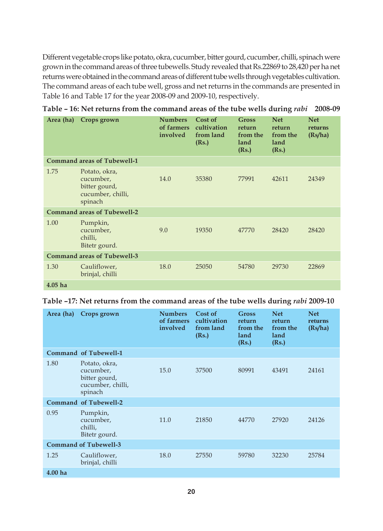Different vegetable crops like potato, okra, cucumber, bitter gourd, cucumber, chilli, spinach were grown in the command areas of three tubewells. Study revealed that Rs.22869 to 28,420 per ha net returns were obtained in the command areas of different tube wells through vegetables cultivation. The command areas of each tube well, gross and net returns in the commands are presented in Table 16 and Table 17 for the year 2008-09 and 2009-10, respectively.

| Area (ha) | Crops grown                                                                 | <b>Numbers</b><br>of farmers<br>involved | Cost of<br>cultivation<br>from land<br>(Rs.) | <b>Gross</b><br>return<br>from the<br>land<br>(Rs.) | <b>Net</b><br>return<br>from the<br>land<br>(Rs.) | <b>Net</b><br>returns<br>(Rs/ha) |
|-----------|-----------------------------------------------------------------------------|------------------------------------------|----------------------------------------------|-----------------------------------------------------|---------------------------------------------------|----------------------------------|
|           | Command areas of Tubewell-1                                                 |                                          |                                              |                                                     |                                                   |                                  |
| 1.75      | Potato, okra,<br>cucumber,<br>bitter gourd,<br>cucumber, chilli,<br>spinach | 14.0                                     | 35380                                        | 77991                                               | 42611                                             | 24349                            |
|           | <b>Command areas of Tubewell-2</b>                                          |                                          |                                              |                                                     |                                                   |                                  |
| 1.00      | Pumpkin,<br>cucumber,<br>chilli,<br>Bitetr gourd.                           | 9.0                                      | 19350                                        | 47770                                               | 28420                                             | 28420                            |
|           | <b>Command areas of Tubewell-3</b>                                          |                                          |                                              |                                                     |                                                   |                                  |
| 1.30      | Cauliflower,<br>brinjal, chilli                                             | 18.0                                     | 25050                                        | 54780                                               | 29730                                             | 22869                            |
| $4.05$ ha |                                                                             |                                          |                                              |                                                     |                                                   |                                  |

**Table – 16: Net returns from the command areas of the tube wells during** *rabi* **2008-09**

| Table -17: Net returns from the command areas of the tube wells during <i>rabi</i> 2009-10 |  |  |  |
|--------------------------------------------------------------------------------------------|--|--|--|
|--------------------------------------------------------------------------------------------|--|--|--|

| Area (ha)          | Crops grown                                                                 | <b>Numbers</b><br>of farmers<br>involved | Cost of<br>cultivation<br>from land<br>(Rs.) | Gross<br>return<br>from the<br>land<br>(Rs.) | <b>Net</b><br>return<br>from the<br>land<br>(Rs.) | <b>Net</b><br>returns<br>(Rs/ha) |
|--------------------|-----------------------------------------------------------------------------|------------------------------------------|----------------------------------------------|----------------------------------------------|---------------------------------------------------|----------------------------------|
|                    | Command of Tubewell-1                                                       |                                          |                                              |                                              |                                                   |                                  |
| 1.80               | Potato, okra,<br>cucumber,<br>bitter gourd,<br>cucumber, chilli,<br>spinach | 15.0                                     | 37500                                        | 80991                                        | 43491                                             | 24161                            |
|                    | Command of Tubewell-2                                                       |                                          |                                              |                                              |                                                   |                                  |
| 0.95               | Pumpkin,<br>cucumber,<br>chilli,<br>Bitetr gourd.                           | 11.0                                     | 21850                                        | 44770                                        | 27920                                             | 24126                            |
|                    | <b>Command of Tubewell-3</b>                                                |                                          |                                              |                                              |                                                   |                                  |
| 1.25               | Cauliflower,<br>brinjal, chilli                                             | 18.0                                     | 27550                                        | 59780                                        | 32230                                             | 25784                            |
| 4.00 <sub>ha</sub> |                                                                             |                                          |                                              |                                              |                                                   |                                  |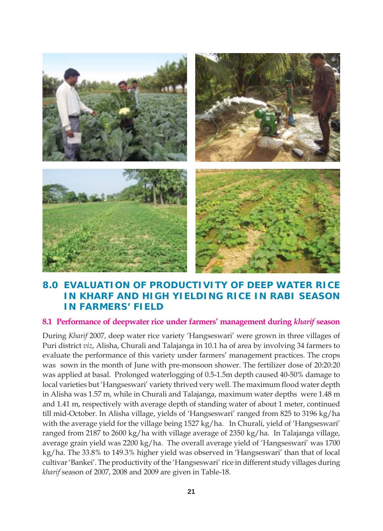

# **8.0 EVALUATION OF PRODUCTIVITY OF DEEP WATER RICE IN** *KHARF* **AND HIGH YIELDING RICE IN** *RABI* **SEASON IN FARMERS' FIELD**

#### **8.1 Performance of deepwater rice under farmers' management during** *kharif* **season**

During *Kharif* 2007, deep water rice variety 'Hangseswari' were grown in three villages of Puri district *viz*, Alisha, Churali and Talajanga in 10.1 ha of area by involving 34 farmers to evaluate the performance of this variety under farmers' management practices. The crops was sown in the month of June with pre-monsoon shower. The fertilizer dose of 20:20:20 was applied at basal. Prolonged waterlogging of 0.5-1.5m depth caused 40-50% damage to local varieties but 'Hangseswari' variety thrived very well. The maximum flood water depth in Alisha was 1.57 m, while in Churali and Talajanga, maximum water depths were 1.48 m and 1.41 m, respectively with average depth of standing water of about 1 meter, continued till mid-October. In Alisha village, yields of 'Hangseswari' ranged from 825 to 3196 kg/ha with the average yield for the village being 1527 kg/ha. In Churali, yield of 'Hangseswari' ranged from 2187 to 2600 kg/ha with village average of 2350 kg/ha. In Talajanga village, average grain yield was 2200 kg/ha. The overall average yield of 'Hangseswari' was 1700 kg/ha. The 33.8% to 149.3% higher yield was observed in 'Hangseswari' than that of local cultivar 'Bankei'. The productivity of the 'Hangseswari' rice in different study villages during *kharif* season of 2007, 2008 and 2009 are given in Table-18.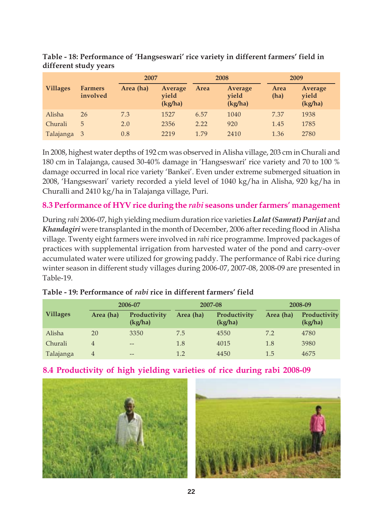|                 |                            | 2007      |                             |      | 2008                        |              | 2009                        |
|-----------------|----------------------------|-----------|-----------------------------|------|-----------------------------|--------------|-----------------------------|
| <b>Villages</b> | <b>Farmers</b><br>involved | Area (ha) | Average<br>vield<br>(kg/ha) | Area | Average<br>vield<br>(kg/ha) | Area<br>(ha) | Average<br>yield<br>(kg/ha) |
| Alisha          | 26                         | 7.3       | 1527                        | 6.57 | 1040                        | 7.37         | 1938                        |
| Churali         | 5                          | 2.0       | 2356                        | 2.22 | 920                         | 1.45         | 1785                        |
| Talajanga 3     |                            | 0.8       | 2219                        | 1.79 | 2410                        | 1.36         | 2780                        |

**Table - 18: Performance of 'Hangseswari' rice variety in different farmers' field in different study years**

In 2008, highest water depths of 192 cm was observed in Alisha village, 203 cm in Churali and 180 cm in Talajanga, caused 30-40% damage in 'Hangseswari' rice variety and 70 to 100 % damage occurred in local rice variety 'Bankei'. Even under extreme submerged situation in 2008, 'Hangseswari' variety recorded a yield level of 1040 kg/ha in Alisha, 920 kg/ha in Churalli and 2410 kg/ha in Talajanga village, Puri.

# **8.3 Performance of HYV rice during the** *rabi* **seasons under farmers' management**

During *rabi* 2006-07, high yielding medium duration rice varieties *Lalat (Samrat) Parijat* and *Khandagiri* were transplanted in the month of December, 2006 after receding flood in Alisha village. Twenty eight farmers were involved in *rabi* rice programme. Improved packages of practices with supplemental irrigation from harvested water of the pond and carry-over accumulated water were utilized for growing paddy. The performance of Rabi rice during winter season in different study villages during 2006-07, 2007-08, 2008-09 are presented in Table-19.

| 2006-07         |                |                         | 2007-08   | 2008-09                 |           |                         |
|-----------------|----------------|-------------------------|-----------|-------------------------|-----------|-------------------------|
| <b>Villages</b> | Area (ha)      | Productivity<br>(kg/ha) | Area (ha) | Productivity<br>(kg/ha) | Area (ha) | Productivity<br>(kg/ha) |
| Alisha          | 20             | 3350                    | 7.5       | 4550                    | 7.2       | 4780                    |
| Churali         | $\overline{4}$ | $\qquad \qquad -$       | 1.8       | 4015                    | 1.8       | 3980                    |
| Talajanga       | 4              | $- -$                   | 1.2       | 4450                    | 1.5       | 4675                    |

#### **Table - 19: Performance of** *rabi* **rice in different farmers' field**





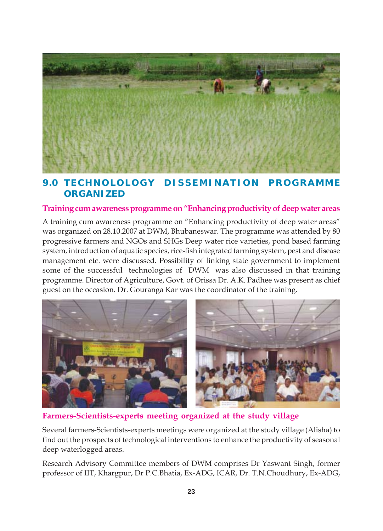

# **9.0 TECHNOLOLOGY DISSEMINATION PROGRAMME ORGANIZED**

#### **Training cum awareness programme on "Enhancing productivity of deep water areas**

A training cum awareness programme on "Enhancing productivity of deep water areas" was organized on 28.10.2007 at DWM, Bhubaneswar. The programme was attended by 80 progressive farmers and NGOs and SHGs Deep water rice varieties, pond based farming system, introduction of aquatic species, rice-fish integrated farming system, pest and disease management etc. were discussed. Possibility of linking state government to implement some of the successful technologies of DWM was also discussed in that training programme. Director of Agriculture, Govt. of Orissa Dr. A.K. Padhee was present as chief guest on the occasion. Dr. Gouranga Kar was the coordinator of the training.



**Farmers-Scientists-experts meeting organized at the study village**

Several farmers-Scientists-experts meetings were organized at the study village (Alisha) to find out the prospects of technological interventions to enhance the productivity of seasonal deep waterlogged areas.

Research Advisory Committee members of DWM comprises Dr Yaswant Singh, former professor of IIT, Khargpur, Dr P.C.Bhatia, Ex-ADG, ICAR, Dr. T.N.Choudhury, Ex-ADG,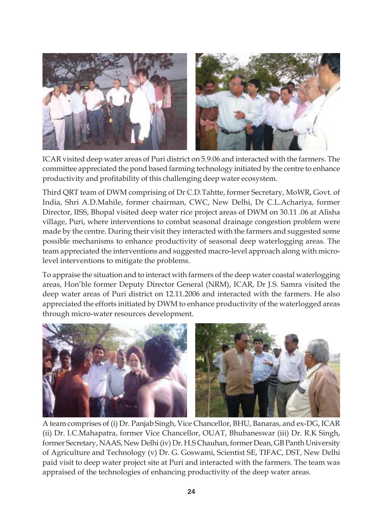

ICAR visited deep water areas of Puri district on 5.9.06 and interacted with the farmers. The committee appreciated the pond based farming technology initiated by the centre to enhance productivity and profitability of this challenging deep water ecosystem.

Third QRT team of DWM comprising of Dr C.D.Tahtte, former Secretary, MoWR, Govt. of India, Shri A.D.Mahile, former chairman, CWC, New Delhi, Dr C.L.Achariya, former Director, IISS, Bhopal visited deep water rice project areas of DWM on 30.11 .06 at Alisha village, Puri, where interventions to combat seasonal drainage congestion problem were made by the centre. During their visit they interacted with the farmers and suggested some possible mechanisms to enhance productivity of seasonal deep waterlogging areas. The team appreciated the interventions and suggested macro-level approach along with microlevel interventions to mitigate the problems.

To appraise the situation and to interact with farmers of the deep water coastal waterlogging areas, Hon'ble former Deputy Director General (NRM), ICAR, Dr J.S. Samra visited the deep water areas of Puri district on 12.11.2006 and interacted with the farmers. He also appreciated the efforts initiated by DWM to enhance productivity of the waterlogged areas through micro-water resources development.



A team comprises of (i) Dr. Panjab Singh, Vice Chancellor, BHU, Banaras, and ex-DG, ICAR (ii) Dr. I.C.Mahapatra, former Vice Chancellor, OUAT, Bhubaneswar (iii) Dr. R.K Singh, former Secretary, NAAS, New Delhi (iv) Dr. H.S Chauhan, former Dean, GB Panth University of Agriculture and Technology (v) Dr. G. Goswami, Scientist SE, TIFAC, DST, New Delhi paid visit to deep water project site at Puri and interacted with the farmers. The team was appraised of the technologies of enhancing productivity of the deep water areas.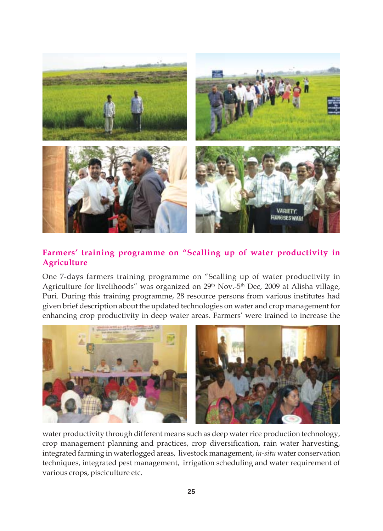

# **Farmers' training programme on "Scalling up of water productivity in Agriculture**

One 7-days farmers training programme on "Scalling up of water productivity in Agriculture for livelihoods" was organized on 29<sup>th</sup> Nov.-5<sup>th</sup> Dec, 2009 at Alisha village, Puri. During this training programme, 28 resource persons from various institutes had given brief description about the updated technologies on water and crop management for enhancing crop productivity in deep water areas. Farmers' were trained to increase the



water productivity through different means such as deep water rice production technology, crop management planning and practices, crop diversification, rain water harvesting, integrated farming in waterlogged areas, livestock management, *in-situ* water conservation techniques, integrated pest management, irrigation scheduling and water requirement of various crops, pisciculture etc.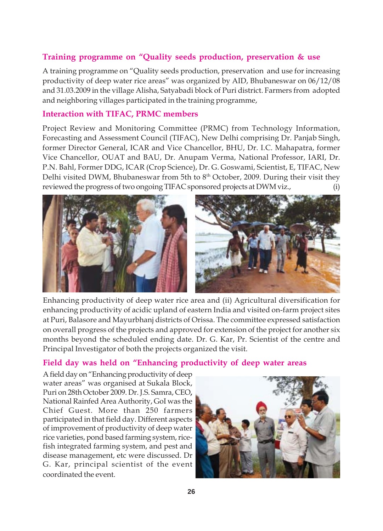#### **Training programme on "Quality seeds production, preservation & use**

A training programme on "Quality seeds production, preservation and use for increasing productivity of deep water rice areas" was organized by AID, Bhubaneswar on 06/12/08 and 31.03.2009 in the village Alisha, Satyabadi block of Puri district. Farmers from adopted and neighboring villages participated in the training programme,

#### **Interaction with TIFAC, PRMC members**

Project Review and Monitoring Committee (PRMC) from Technology Information, Forecasting and Assessment Council (TIFAC), New Delhi comprising Dr. Panjab Singh, former Director General, ICAR and Vice Chancellor, BHU, Dr. I.C. Mahapatra, former Vice Chancellor, OUAT and BAU, Dr. Anupam Verma, National Professor, IARI, Dr. P.N. Bahl, Former DDG, ICAR (Crop Science), Dr. G. Goswami, Scientist, E, TIFAC, New Delhi visited DWM, Bhubaneswar from 5th to 8<sup>th</sup> October, 2009. During their visit they reviewed the progress of two ongoing TIFAC sponsored projects at DWM viz., (i)



Enhancing productivity of deep water rice area and (ii) Agricultural diversification for enhancing productivity of acidic upland of eastern India and visited on-farm project sites at Puri, Balasore and Mayurbhanj districts of Orissa. The committee expressed satisfaction on overall progress of the projects and approved for extension of the project for another six months beyond the scheduled ending date. Dr. G. Kar, Pr. Scientist of the centre and Principal Investigator of both the projects organized the visit.

#### **Field day was held on "Enhancing productivity of deep water areas**

A field day on "Enhancing productivity of deep water areas" was organised at Sukala Block, Puri on 28th October 2009. Dr. J.S. Samra, CEO**,** National Rainfed Area Authority, GoI was the Chief Guest. More than 250 farmers participated in that field day. Different aspects of improvement of productivity of deep water rice varieties, pond based farming system, ricefish integrated farming system, and pest and disease management, etc were discussed. Dr G. Kar, principal scientist of the event coordinated the event.

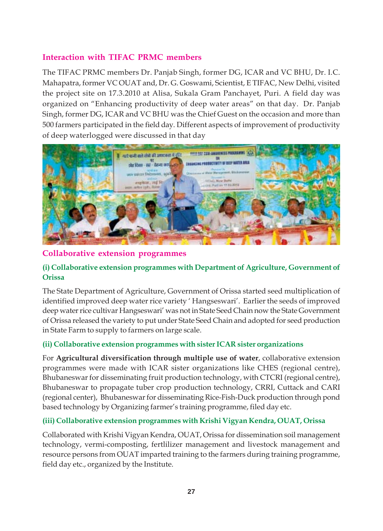# **Interaction with TIFAC PRMC members**

The TIFAC PRMC members Dr. Panjab Singh, former DG, ICAR and VC BHU, Dr. I.C. Mahapatra, former VC OUAT and, Dr. G. Goswami, Scientist, E TIFAC, New Delhi, visited the project site on 17.3.2010 at Alisa, Sukala Gram Panchayet, Puri. A field day was organized on "Enhancing productivity of deep water areas" on that day. Dr. Panjab Singh, former DG, ICAR and VC BHU was the Chief Guest on the occasion and more than 500 farmers participated in the field day. Different aspects of improvement of productivity of deep waterlogged were discussed in that day



#### **Collaborative extension programmes**

#### **(i) Collaborative extension programmes with Department of Agriculture, Government of Orissa**

The State Department of Agriculture, Government of Orissa started seed multiplication of identified improved deep water rice variety ' Hangseswari'. Earlier the seeds of improved deep water rice cultivar Hangseswari' was not in State Seed Chain now the State Government of Orissa released the variety to put under State Seed Chain and adopted for seed production in State Farm to supply to farmers on large scale.

#### **(ii) Collaborative extension programmes with sister ICAR sister organizations**

For **Agricultural diversification through multiple use of water**, collaborative extension programmes were made with ICAR sister organizations like CHES (regional centre), Bhubaneswar for disseminating fruit production technology, with CTCRI (regional centre), Bhubaneswar to propagate tuber crop production technology, CRRI, Cuttack and CARI (regional center), Bhubaneswar for disseminating Rice-Fish-Duck production through pond based technology by Organizing farmer's training programme, filed day etc.

#### **(iii) Collaborative extension programmes with Krishi Vigyan Kendra, OUAT, Orissa**

Collaborated with Krishi Vigyan Kendra, OUAT, Orissa for dissemination soil management technology, vermi-composting, fertlilizer management and livestock management and resource persons from OUAT imparted training to the farmers during training programme, field day etc., organized by the Institute.